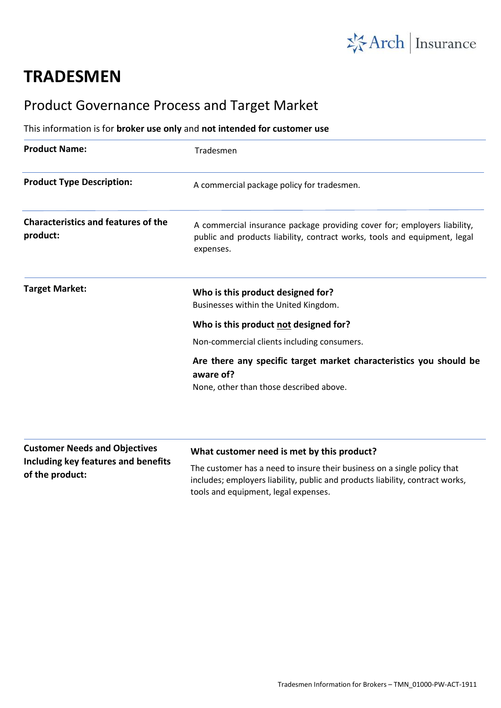

# **TRADESMEN**

## Product Governance Process and Target Market

### This information is for **broker use only** and **not intended for customer use**

| <b>Product Name:</b>                                   | Tradesmen                                                                                                                                                                             |
|--------------------------------------------------------|---------------------------------------------------------------------------------------------------------------------------------------------------------------------------------------|
| <b>Product Type Description:</b>                       | A commercial package policy for tradesmen.                                                                                                                                            |
| <b>Characteristics and features of the</b><br>product: | A commercial insurance package providing cover for; employers liability,<br>public and products liability, contract works, tools and equipment, legal<br>expenses.                    |
| <b>Target Market:</b>                                  | Who is this product designed for?<br>Businesses within the United Kingdom.                                                                                                            |
|                                                        | Who is this product not designed for?                                                                                                                                                 |
|                                                        | Non-commercial clients including consumers.                                                                                                                                           |
|                                                        | Are there any specific target market characteristics you should be<br>aware of?                                                                                                       |
|                                                        | None, other than those described above.                                                                                                                                               |
| <b>Customer Needs and Objectives</b>                   | What customer need is met by this product?                                                                                                                                            |
| Including key features and benefits<br>of the product: | The customer has a need to insure their business on a single policy that<br>وباسمين بالموسلون ممرر ببازاز والمازل مامريا والموامر والماريون ببازاز والمزار وسميتم الوسوم يمماوين اموز |

includes; employers liability, public and products liability, contract works, tools and equipment, legal expenses.